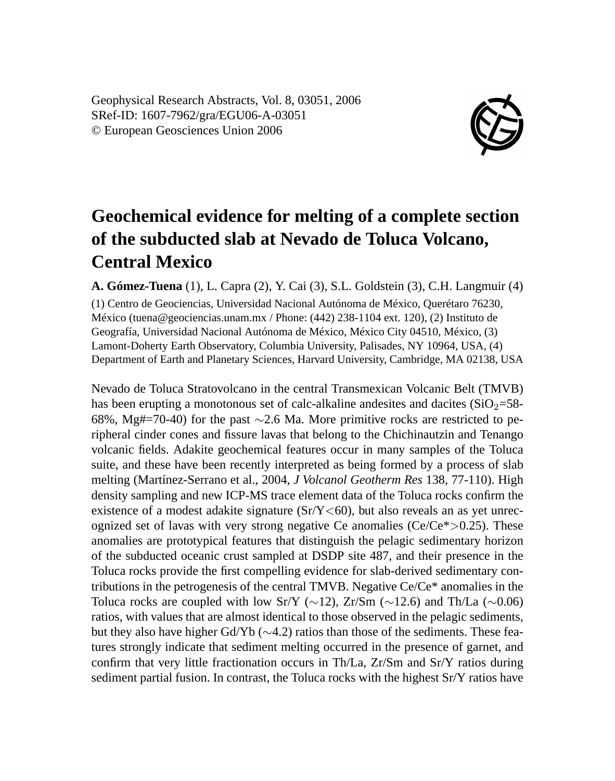Geophysical Research Abstracts, Vol. 8, 03051, 2006 SRef-ID: 1607-7962/gra/EGU06-A-03051 © European Geosciences Union 2006



## **Geochemical evidence for melting of a complete section of the subducted slab at Nevado de Toluca Volcano, Central Mexico**

**A. Gómez-Tuena** (1), L. Capra (2), Y. Cai (3), S.L. Goldstein (3), C.H. Langmuir (4)

(1) Centro de Geociencias, Universidad Nacional Autónoma de México, Querétaro 76230, México (tuena@geociencias.unam.mx / Phone: (442) 238-1104 ext. 120), (2) Instituto de Geografía, Universidad Nacional Autónoma de México, México City 04510, México, (3) Lamont-Doherty Earth Observatory, Columbia University, Palisades, NY 10964, USA, (4) Department of Earth and Planetary Sciences, Harvard University, Cambridge, MA 02138, USA

Nevado de Toluca Stratovolcano in the central Transmexican Volcanic Belt (TMVB) has been erupting a monotonous set of calc-alkaline andesites and dacites  $(SiO<sub>2</sub>=58-$ 68%, Mg#=70-40) for the past ∼2.6 Ma. More primitive rocks are restricted to peripheral cinder cones and fissure lavas that belong to the Chichinautzin and Tenango volcanic fields. Adakite geochemical features occur in many samples of the Toluca suite, and these have been recently interpreted as being formed by a process of slab melting (Martínez-Serrano et al., 2004, *J Volcanol Geotherm Res* 138, 77-110). High density sampling and new ICP-MS trace element data of the Toluca rocks confirm the existence of a modest adakite signature  $(Sr/Y \leq 60)$ , but also reveals an as yet unrecognized set of lavas with very strong negative Ce anomalies ( $Ce/Ce^* > 0.25$ ). These anomalies are prototypical features that distinguish the pelagic sedimentary horizon of the subducted oceanic crust sampled at DSDP site 487, and their presence in the Toluca rocks provide the first compelling evidence for slab-derived sedimentary contributions in the petrogenesis of the central TMVB. Negative Ce/Ce\* anomalies in the Toluca rocks are coupled with low Sr/Y (∼12), Zr/Sm (∼12.6) and Th/La (∼0.06) ratios, with values that are almost identical to those observed in the pelagic sediments, but they also have higher Gd/Yb (∼4.2) ratios than those of the sediments. These features strongly indicate that sediment melting occurred in the presence of garnet, and confirm that very little fractionation occurs in Th/La, Zr/Sm and Sr/Y ratios during sediment partial fusion. In contrast, the Toluca rocks with the highest Sr/Y ratios have